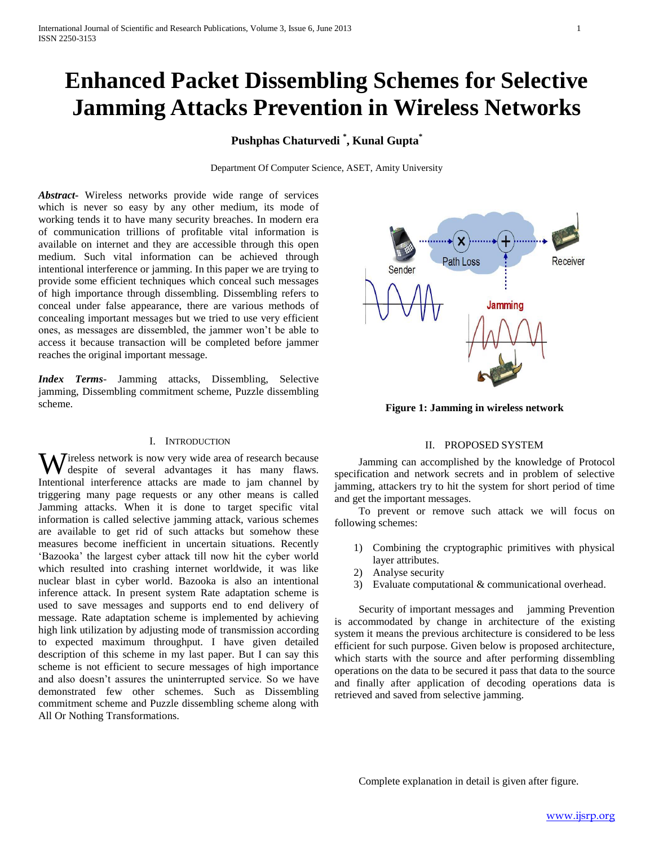# **Enhanced Packet Dissembling Schemes for Selective Jamming Attacks Prevention in Wireless Networks**

# **Pushphas Chaturvedi \* , Kunal Gupta\***

Department Of Computer Science, ASET, Amity University

*Abstract***-** Wireless networks provide wide range of services which is never so easy by any other medium, its mode of working tends it to have many security breaches. In modern era of communication trillions of profitable vital information is available on internet and they are accessible through this open medium. Such vital information can be achieved through intentional interference or jamming. In this paper we are trying to provide some efficient techniques which conceal such messages of high importance through dissembling. Dissembling refers to conceal under false appearance, there are various methods of concealing important messages but we tried to use very efficient ones, as messages are dissembled, the jammer won't be able to access it because transaction will be completed before jammer reaches the original important message.

*Index Terms*- Jamming attacks, Dissembling, Selective jamming, Dissembling commitment scheme, Puzzle dissembling scheme.

# I. INTRODUCTION

Wireless network is now very wide area of research because<br>despite of several advantages it has many flaws. despite of several advantages it has many flaws. Intentional interference attacks are made to jam channel by triggering many page requests or any other means is called Jamming attacks. When it is done to target specific vital information is called selective jamming attack, various schemes are available to get rid of such attacks but somehow these measures become inefficient in uncertain situations. Recently 'Bazooka' the largest cyber attack till now hit the cyber world which resulted into crashing internet worldwide, it was like nuclear blast in cyber world. Bazooka is also an intentional inference attack. In present system Rate adaptation scheme is used to save messages and supports end to end delivery of message. Rate adaptation scheme is implemented by achieving high link utilization by adjusting mode of transmission according to expected maximum throughput. I have given detailed description of this scheme in my last paper. But I can say this scheme is not efficient to secure messages of high importance and also doesn't assures the uninterrupted service. So we have demonstrated few other schemes. Such as Dissembling commitment scheme and Puzzle dissembling scheme along with All Or Nothing Transformations.



**Figure 1: Jamming in wireless network**

#### II. PROPOSED SYSTEM

 Jamming can accomplished by the knowledge of Protocol specification and network secrets and in problem of selective jamming, attackers try to hit the system for short period of time and get the important messages.

 To prevent or remove such attack we will focus on following schemes:

- 1) Combining the cryptographic primitives with physical layer attributes.
- 2) Analyse security
- 3) Evaluate computational & communicational overhead.

 Security of important messages and jamming Prevention is accommodated by change in architecture of the existing system it means the previous architecture is considered to be less efficient for such purpose. Given below is proposed architecture, which starts with the source and after performing dissembling operations on the data to be secured it pass that data to the source and finally after application of decoding operations data is retrieved and saved from selective jamming.

Complete explanation in detail is given after figure.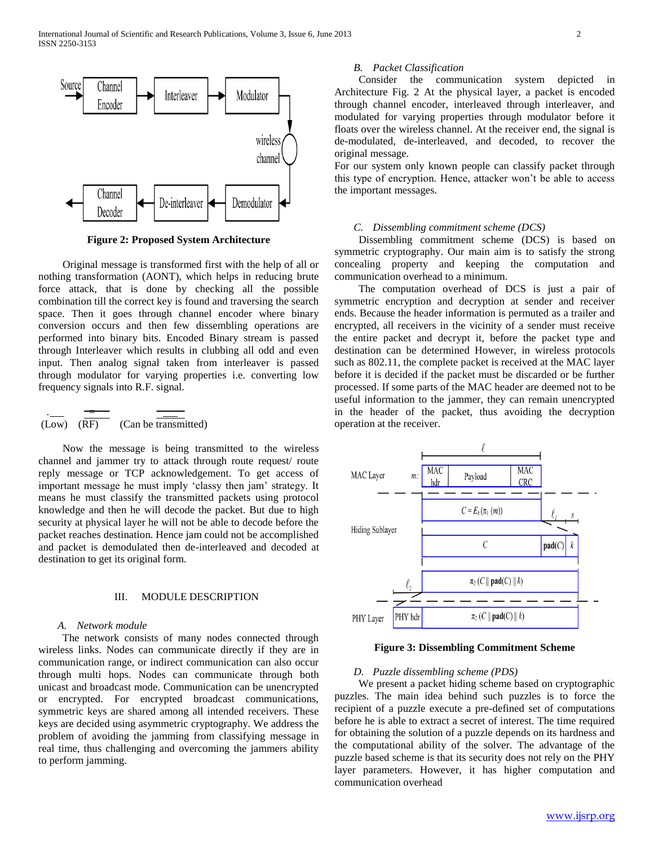

**Figure 2: Proposed System Architecture**

 Original message is transformed first with the help of all or nothing transformation (AONT), which helps in reducing brute force attack, that is done by checking all the possible combination till the correct key is found and traversing the search space. Then it goes through channel encoder where binary conversion occurs and then few dissembling operations are performed into binary bits. Encoded Binary stream is passed through Interleaver which results in clubbing all odd and even input. Then analog signal taken from interleaver is passed through modulator for varying properties i.e. converting low frequency signals into R.F. signal.

$$
\frac{\cdot}{(\text{Low}) \cdot (\overline{\text{RF}})} \cdot \frac{\overline{\text{two}}}{(\text{Can be transmitted})}
$$

 Now the message is being transmitted to the wireless channel and jammer try to attack through route request/ route reply message or TCP acknowledgement. To get access of important message he must imply 'classy then jam' strategy. It means he must classify the transmitted packets using protocol knowledge and then he will decode the packet. But due to high security at physical layer he will not be able to decode before the packet reaches destination. Hence jam could not be accomplished and packet is demodulated then de-interleaved and decoded at destination to get its original form.

#### III. MODULE DESCRIPTION

#### *A. Network module*

 The network consists of many nodes connected through wireless links. Nodes can communicate directly if they are in communication range, or indirect communication can also occur through multi hops. Nodes can communicate through both unicast and broadcast mode. Communication can be unencrypted or encrypted. For encrypted broadcast communications, symmetric keys are shared among all intended receivers. These keys are decided using asymmetric cryptography. We address the problem of avoiding the jamming from classifying message in real time, thus challenging and overcoming the jammers ability to perform jamming.

#### *B. Packet Classification*

 Consider the communication system depicted in Architecture Fig. 2 At the physical layer, a packet is encoded through channel encoder, interleaved through interleaver, and modulated for varying properties through modulator before it floats over the wireless channel. At the receiver end, the signal is de-modulated, de-interleaved, and decoded, to recover the original message.

For our system only known people can classify packet through this type of encryption. Hence, attacker won't be able to access the important messages.

#### *C. Dissembling commitment scheme (DCS)*

 Dissembling commitment scheme (DCS) is based on symmetric cryptography. Our main aim is to satisfy the strong concealing property and keeping the computation and communication overhead to a minimum.

 The computation overhead of DCS is just a pair of symmetric encryption and decryption at sender and receiver ends. Because the header information is permuted as a trailer and encrypted, all receivers in the vicinity of a sender must receive the entire packet and decrypt it, before the packet type and destination can be determined However, in wireless protocols such as 802.11, the complete packet is received at the MAC layer before it is decided if the packet must be discarded or be further processed. If some parts of the MAC header are deemed not to be useful information to the jammer, they can remain unencrypted in the header of the packet, thus avoiding the decryption operation at the receiver.



**Figure 3: Dissembling Commitment Scheme**

## *D. Puzzle dissembling scheme (PDS)*

 We present a packet hiding scheme based on cryptographic puzzles. The main idea behind such puzzles is to force the recipient of a puzzle execute a pre-defined set of computations before he is able to extract a secret of interest. The time required for obtaining the solution of a puzzle depends on its hardness and the computational ability of the solver. The advantage of the puzzle based scheme is that its security does not rely on the PHY layer parameters. However, it has higher computation and communication overhead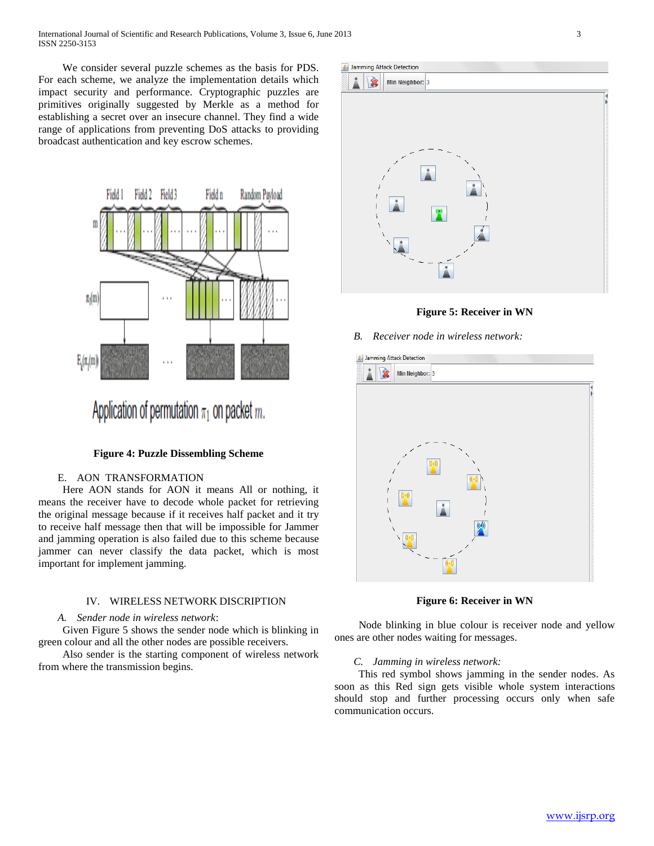International Journal of Scientific and Research Publications, Volume 3, Issue 6, June 2013 3 ISSN 2250-3153

 We consider several puzzle schemes as the basis for PDS. For each scheme, we analyze the implementation details which impact security and performance. Cryptographic puzzles are primitives originally suggested by Merkle as a method for establishing a secret over an insecure channel. They find a wide range of applications from preventing DoS attacks to providing broadcast authentication and key escrow schemes.



Application of permutation  $\pi_1$  on packet m.

#### **Figure 4: Puzzle Dissembling Scheme**

# E. AON TRANSFORMATION

 Here AON stands for AON it means All or nothing, it means the receiver have to decode whole packet for retrieving the original message because if it receives half packet and it try to receive half message then that will be impossible for Jammer and jamming operation is also failed due to this scheme because jammer can never classify the data packet, which is most important for implement jamming.

#### IV. WIRELESS NETWORK DISCRIPTION

#### *A. Sender node in wireless network*:

 Given Figure 5 shows the sender node which is blinking in green colour and all the other nodes are possible receivers.

 Also sender is the starting component of wireless network from where the transmission begins.



**Figure 5: Receiver in WN**

*B. Receiver node in wireless network:*



**Figure 6: Receiver in WN**

 Node blinking in blue colour is receiver node and yellow ones are other nodes waiting for messages.

#### *C. Jamming in wireless network:*

 This red symbol shows jamming in the sender nodes. As soon as this Red sign gets visible whole system interactions should stop and further processing occurs only when safe communication occurs.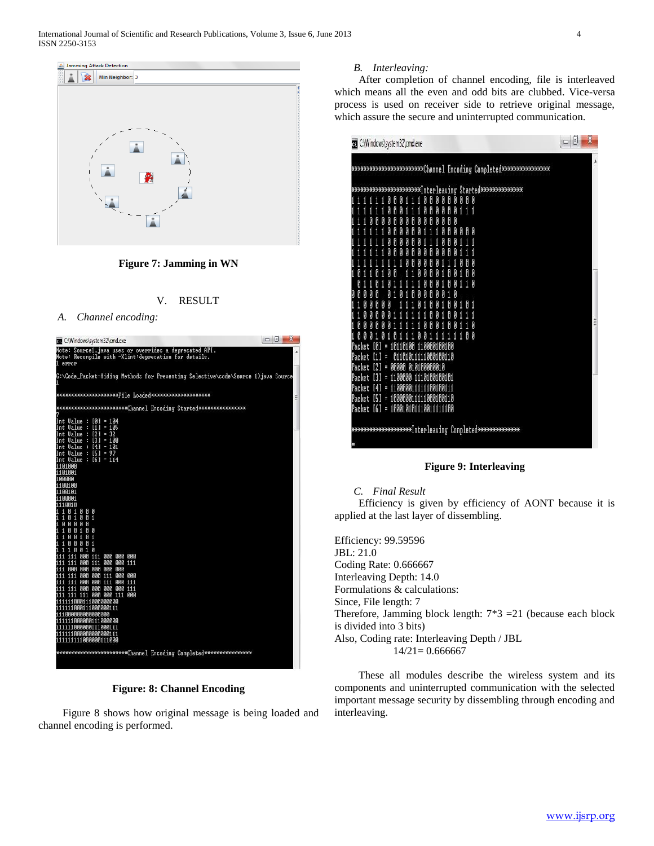

**Figure 7: Jamming in WN**



**Figure: 8: Channel Encoding**

 Figure 8 shows how original message is being loaded and channel encoding is performed.

## *B. Interleaving:*

 After completion of channel encoding, file is interleaved which means all the even and odd bits are clubbed. Vice-versa process is used on receiver side to retrieve original message, which assure the secure and uninterrupted communication.

| *****************Channel Encoding Completed*****************<br>*********Interleaving Started***********<br>Ø<br>Ø<br>Й<br>Ø<br>Й<br>Ø<br>И<br>И<br>И<br>1<br>1<br>Ø<br>Ø<br>Ø<br>Ø<br>Ø<br>Ø<br>1 | Ø |
|----------------------------------------------------------------------------------------------------------------------------------------------------------------------------------------------------|---|
|                                                                                                                                                                                                    | A |
|                                                                                                                                                                                                    |   |
|                                                                                                                                                                                                    |   |
|                                                                                                                                                                                                    |   |
| И<br>И<br>И<br>И<br>Ø<br>И                                                                                                                                                                         |   |
| Ø<br>Й<br>И<br>И                                                                                                                                                                                   |   |
| Ø<br>Ø<br>И                                                                                                                                                                                        |   |
|                                                                                                                                                                                                    |   |
|                                                                                                                                                                                                    |   |
|                                                                                                                                                                                                    |   |
| Ø<br>И<br>Ø<br>1                                                                                                                                                                                   |   |
| g                                                                                                                                                                                                  |   |
| Ø<br>И                                                                                                                                                                                             |   |
|                                                                                                                                                                                                    | E |
| Ø<br>Ø<br>И<br>И<br>1<br>И<br>И                                                                                                                                                                    |   |
| Й<br>Й<br>Й<br>1<br>Й                                                                                                                                                                              |   |
| 0000100100<br>$= 10110$<br>Packet<br>ии<br>IM I<br>1                                                                                                                                               |   |
| 1111000100110<br>Packet<br>01101<br>01<br>Π<br>н<br>010100000010<br>[2]<br>= ААААА<br>Packet                                                                                                       |   |
| Packet<br>11AAAAA<br>1110100100101<br>[3]<br>н                                                                                                                                                     |   |
| = 110000111111001001<br>Packet<br>[4]                                                                                                                                                              |   |
| $[5] = 100000011111000100110$<br>Packet                                                                                                                                                            |   |
| $[6] = 100010101110011111100$<br>Packet                                                                                                                                                            |   |
|                                                                                                                                                                                                    |   |
| *********Interleaving Completed**************                                                                                                                                                      |   |
|                                                                                                                                                                                                    |   |

# **Figure 9: Interleaving**

*C. Final Result*

 Efficiency is given by efficiency of AONT because it is applied at the last layer of dissembling.

Efficiency: 99.59596 JBL: 21.0 Coding Rate: 0.666667 Interleaving Depth: 14.0 Formulations & calculations: Since, File length: 7 Therefore, Jamming block length: 7\*3 =21 (because each block is divided into 3 bits) Also, Coding rate: Interleaving Depth / JBL  $14/21= 0.666667$ 

 These all modules describe the wireless system and its components and uninterrupted communication with the selected important message security by dissembling through encoding and interleaving.